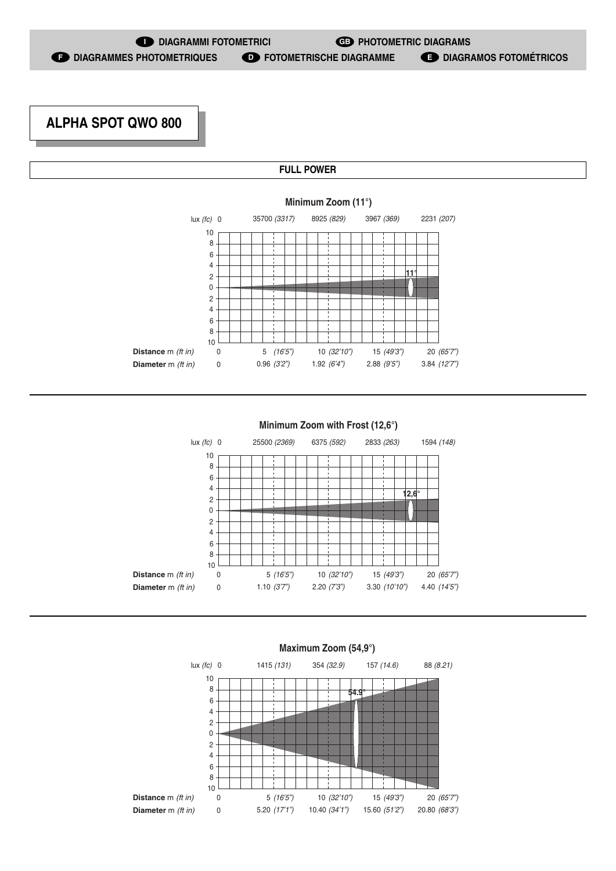# **ALPHA SPOT QWO 800**

### **FULL POWER**





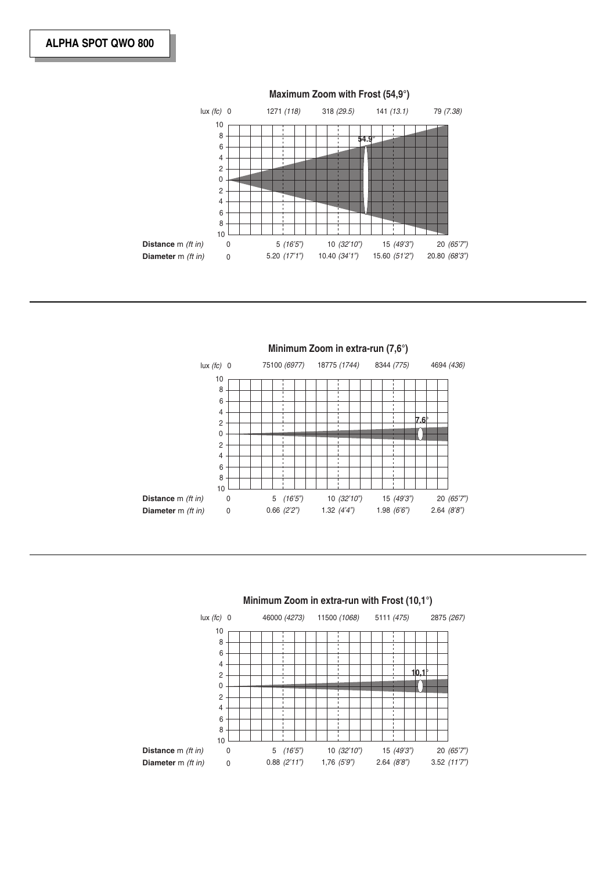

**Minimum Zoom in extra-run (7,6°)** lux (fc) 0 75100 (6977) 18775 (1744) 8344 (775) 4694 (436) -i **7.6°** Ť Λ  $\frac{1}{2}$  **Distance** m (ft in) 0 5 (16'5") 10 (32'10") 15 (49'3") 20 (65'7") **Diameter** m (ft in) 0 0.66 (2'2") 1.32 (4'4") 1.98 (6'6") 2.64 (8'8")



### **Maximum Zoom with Frost (54,9°)**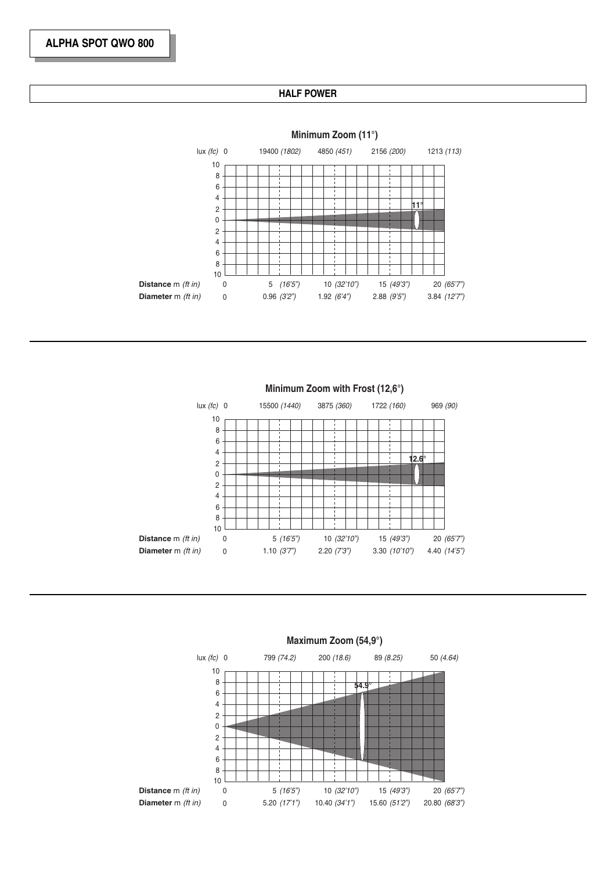## **HALF POWER**